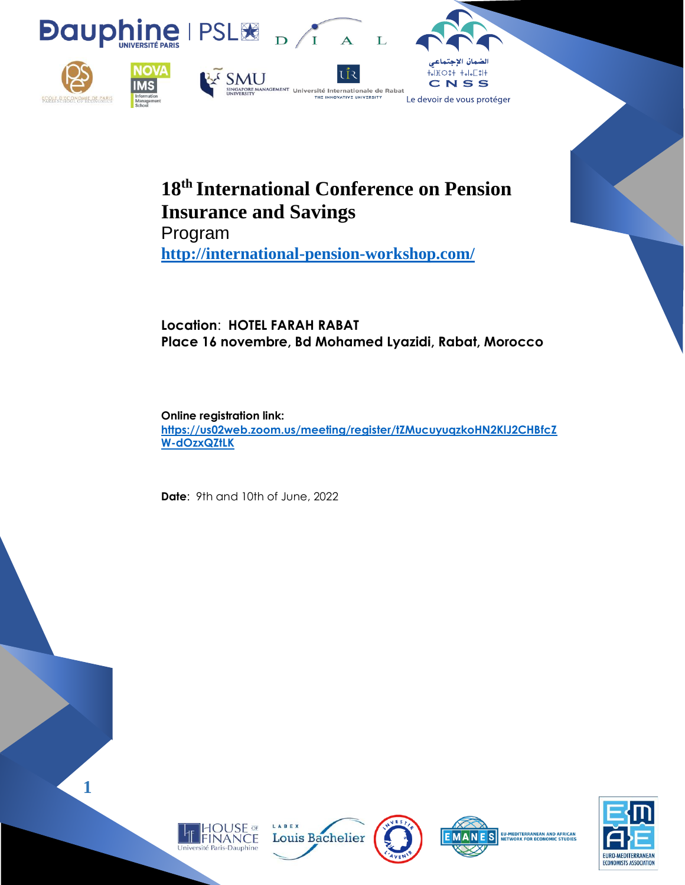

# **18th International Conference on Pension Insurance and Savings**

Program **<http://international-pension-workshop.com/>**

# **Location**: **HOTEL FARAH RABAT Place 16 novembre, Bd Mohamed Lyazidi, Rabat, Morocco**

**Online registration link: [https://us02web.zoom.us/meeting/register/tZMucuyuqzkoHN2KlJ2CHBfcZ](https://us02web.zoom.us/meeting/register/tZMucuyuqzkoHN2KlJ2CHBfcZW-dOzxQZtLK) [W-dOzxQZtLK](https://us02web.zoom.us/meeting/register/tZMucuyuqzkoHN2KlJ2CHBfcZW-dOzxQZtLK)**

**Date**: 9th and 10th of June, 2022











**1**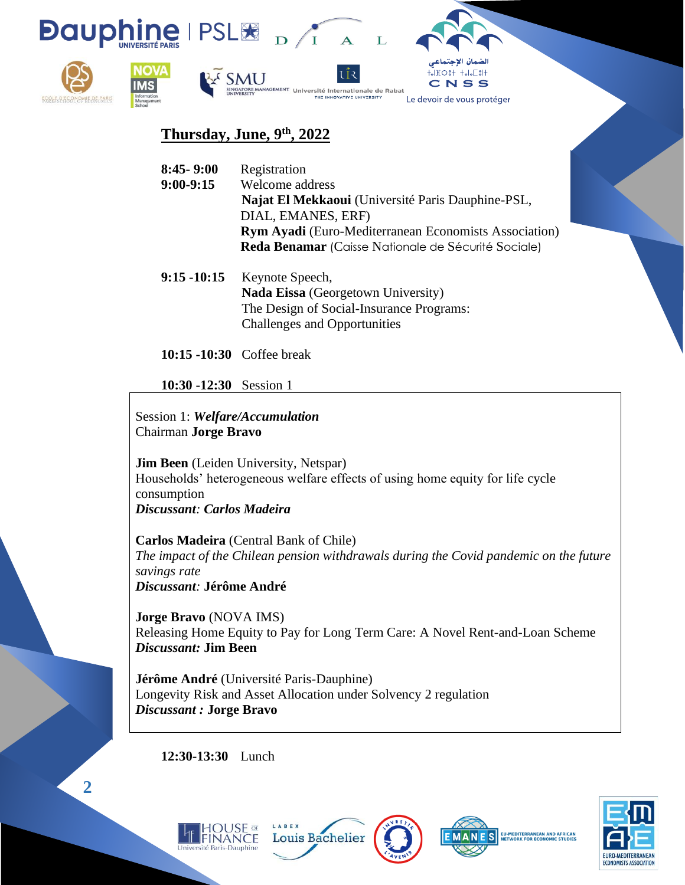

# **Thursday, June, 9th, 2022**

| $8:45 - 9:00$ | Registration                                                 |
|---------------|--------------------------------------------------------------|
| $9:00-9:15$   | Welcome address                                              |
|               | Najat El Mekkaoui (Université Paris Dauphine-PSL,            |
|               | DIAL, EMANES, ERF)                                           |
|               | <b>Rym Ayadi</b> (Euro-Mediterranean Economists Association) |
|               | Reda Benamar (Caisse Nationale de Sécurité Sociale)          |
|               |                                                              |

**9:15 -10:15** Keynote Speech, **Nada Eissa** (Georgetown University) The Design of Social-Insurance Programs: Challenges and Opportunities

**10:15 -10:30** Coffee break

**10:30 -12:30** Session 1

Session 1: *Welfare/Accumulation* Chairman **Jorge Bravo**

**Jim Been** (Leiden University, Netspar) Households' heterogeneous welfare effects of using home equity for life cycle consumption *Discussant: Carlos Madeira*

**Carlos Madeira** (Central Bank of Chile) *The impact of the Chilean pension withdrawals during the Covid pandemic on the future savings rate Discussant:* **Jérôme André**

**Jorge Bravo** (NOVA IMS) Releasing Home Equity to Pay for Long Term Care: A Novel Rent-and-Loan Scheme *Discussant:* **Jim Been**

**Jérôme André** (Université Paris-Dauphine) Longevity Risk and Asset Allocation under Solvency 2 regulation *Discussant :* **Jorge Bravo**

**Louis Bachelier** 

LABEX

**12:30-13:30** Lunch







**2**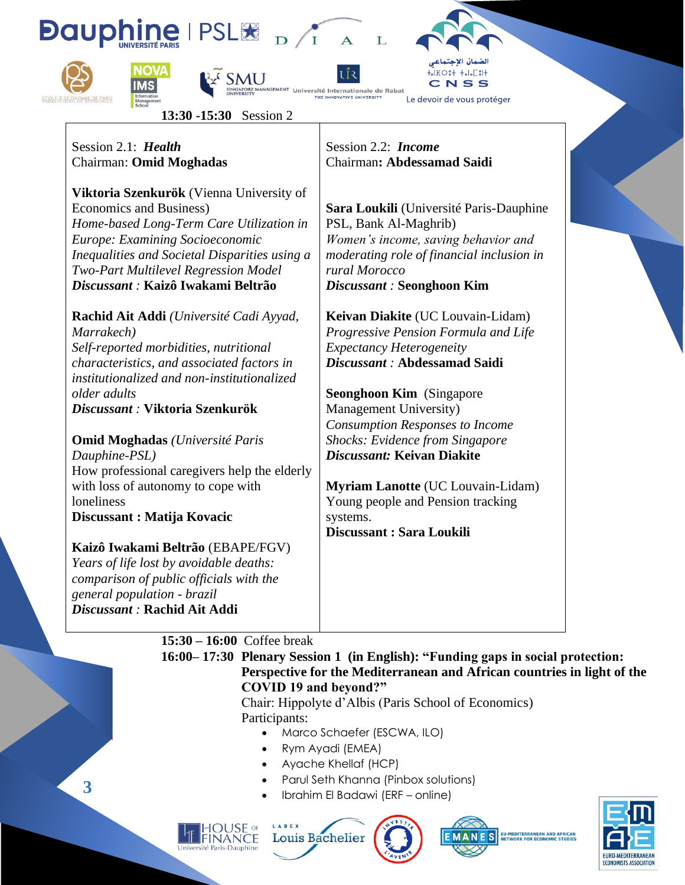





NAGEMENT Université Internationale de Rabat



**13:30 -15:30** Session 2

Session 2.1: *Health* Chairman: **Omid Moghadas** 

**Viktoria Szenkurök** (Vienna University of Economics and Business) *Home-based Long-Term Care Utilization in Europe: Examining Socioeconomic Inequalities and Societal Disparities using a Two-Part Multilevel Regression Model Discussant :* **Kaizô Iwakami Beltrão** 

**Rachid Ait Addi** *(Université Cadi Ayyad, Marrakech) Self-reported morbidities, nutritional characteristics, and associated factors in institutionalized and non-institutionalized older adults* 

*Discussant :* **Viktoria Szenkurök**

**Omid Moghadas** *(Université Paris Dauphine-PSL)* How professional caregivers help the elderly with loss of autonomy to cope with loneliness **Discussant : Matija Kovacic**

**Kaizô Iwakami Beltrão** (EBAPE/FGV) *Years of life lost by avoidable deaths: comparison of public officials with the general population - brazil Discussant :* **Rachid Ait Addi** 

Session 2.2: *Income* Chairman**: Abdessamad Saidi** 

NOVATIVE UNIVERSITY

**Sara Loukili** (Université Paris-Dauphine PSL, Bank Al-Maghrib) *Women's income, saving behavior and moderating role of financial inclusion in rural Morocco Discussant :* **Seonghoon Kim**

**Keivan Diakite** (UC Louvain-Lidam) *Progressive Pension Formula and Life Expectancy Heterogeneity Discussant :* **Abdessamad Saidi**

**Seonghoon Kim** (Singapore Management University) *Consumption Responses to Income Shocks: Evidence from Singapore Discussant:* **Keivan Diakite**

**Myriam Lanotte** (UC Louvain-Lidam) Young people and Pension tracking systems. **Discussant : Sara Loukili**

**15:30 – 16:00** Coffee break

FINANCE tiversité Paris-Dau

#### **16:00– 17:30 Plenary Session 1 (in English): "Funding gaps in social protection: Perspective for the Mediterranean and African countries in light of the COVID 19 and beyond?"**

Chair: Hippolyte d'Albis (Paris School of Economics) Participants:

- Marco Schaefer (ESCWA, ILO)
- Rym Ayadi (EMEA)
- Ayache Khellaf (HCP)
- Parul Seth Khanna (Pinbox solutions)
- Ibrahim El Badawi (ERF online)





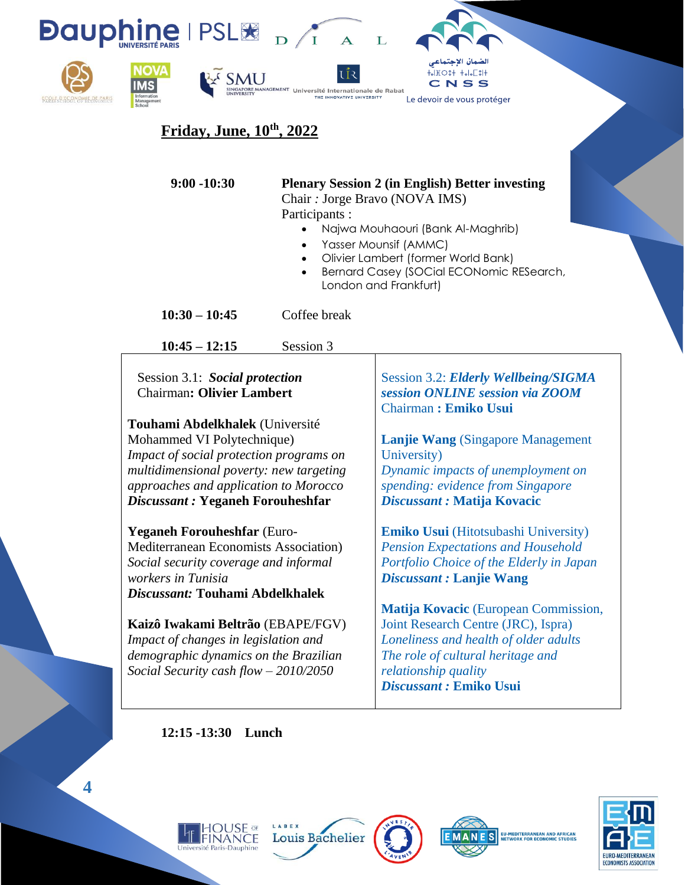

# **Friday, June, 10th, 2022**

# **9:00 -10:30 Plenary Session 2 (in English) Better investing**

Chair *:* Jorge Bravo (NOVA IMS) Participants :

- Najwa Mouhaouri (Bank Al-Maghrib)
- Yasser Mounsif (AMMC)
- Olivier Lambert (former World Bank)
- Bernard Casey (SOCial ECONomic RESearch, London and Frankfurt)

**10:30 – 10:45** Coffee break

**10:45 – 12:15** Session 3

Session 3.1: *Social protection* Chairman**: Olivier Lambert**

**Touhami Abdelkhalek** (Université Mohammed VI Polytechnique) *Impact of social protection programs on multidimensional poverty: new targeting approaches and application to Morocco Discussant :* **Yeganeh Forouheshfar**

**Yeganeh Forouheshfar** (Euro-Mediterranean Economists Association) *Social security coverage and informal workers in Tunisia Discussant:* **Touhami Abdelkhalek**

**Kaizô Iwakami Beltrão** (EBAPE/FGV) *Impact of changes in legislation and demographic dynamics on the Brazilian Social Security cash flow – 2010/2050*

Session 3.2: *Elderly Wellbeing/SIGMA session ONLINE session via ZOOM*  Chairman **: Emiko Usui**

**Lanjie Wang** (Singapore Management University) *Dynamic impacts of unemployment on spending: evidence from Singapore Discussant :* **Matija Kovacic**

**Emiko Usui** (Hitotsubashi University) *Pension Expectations and Household Portfolio Choice of the Elderly in Japan Discussant :* **Lanjie Wang**

**Matija Kovacic** (European Commission, Joint Research Centre (JRC), Ispra) *Loneliness and health of older adults The role of cultural heritage and relationship quality Discussant :* **Emiko Usui**

**12:15 -13:30 Lunch** 









**4**